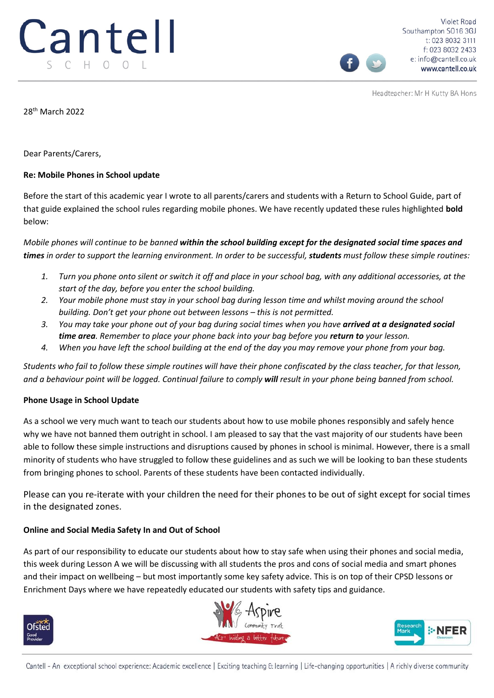Headteacher: Mr H Kutty BA Hons

28th March 2022

Dear Parents/Carers,

## **Re: Mobile Phones in School update**

Before the start of this academic year I wrote to all parents/carers and students with a Return to School Guide, part of that guide explained the school rules regarding mobile phones. We have recently updated these rules highlighted **bold** below:

*Mobile phones will continue to be banned within the school building except for the designated social time spaces and times in order to support the learning environment. In order to be successful, students must follow these simple routines:*

- *1. Turn you phone onto silent or switch it off and place in your school bag, with any additional accessories, at the start of the day, before you enter the school building.*
- *2. Your mobile phone must stay in your school bag during lesson time and whilst moving around the school building. Don't get your phone out between lessons – this is not permitted.*
- *3. You may take your phone out of your bag during social times when you have arrived at a designated social time area. Remember to place your phone back into your bag before you return to your lesson.*
- *4. When you have left the school building at the end of the day you may remove your phone from your bag.*

*Students who fail to follow these simple routines will have their phone confiscated by the class teacher, for that lesson, and a behaviour point will be logged. Continual failure to comply will result in your phone being banned from school.*

## **Phone Usage in School Update**

As a school we very much want to teach our students about how to use mobile phones responsibly and safely hence why we have not banned them outright in school. I am pleased to say that the vast majority of our students have been able to follow these simple instructions and disruptions caused by phones in school is minimal. However, there is a small minority of students who have struggled to follow these guidelines and as such we will be looking to ban these students from bringing phones to school. Parents of these students have been contacted individually.

Please can you re-iterate with your children the need for their phones to be out of sight except for social times in the designated zones.

## **Online and Social Media Safety In and Out of School**

As part of our responsibility to educate our students about how to stay safe when using their phones and social media, this week during Lesson A we will be discussing with all students the pros and cons of social media and smart phones and their impact on wellbeing – but most importantly some key safety advice. This is on top of their CPSD lessons or Enrichment Days where we have repeatedly educated our students with safety tips and guidance.